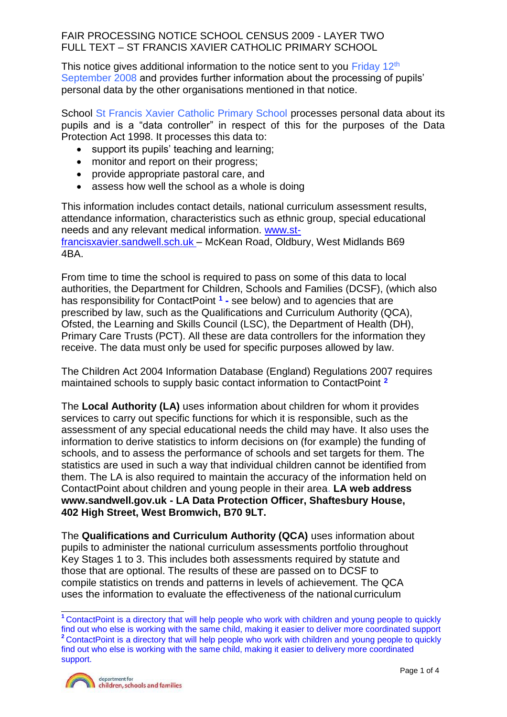This notice gives additional information to the notice sent to you Friday  $12<sup>th</sup>$ September 2008 and provides further information about the processing of pupils' personal data by the other organisations mentioned in that notice.

School St Francis Xavier Catholic Primary School processes personal data about its pupils and is a "data controller" in respect of this for the purposes of the Data Protection Act 1998. It processes this data to:

- support its pupils' teaching and learning;
- monitor and report on their progress;
- provide appropriate pastoral care, and
- assess how well the school as a whole is doing

This information includes contact details, national curriculum assessment results, attendance information, characteristics such as ethnic group, special educational needs and any relevant medical information. www.stfrancisxavier.sandwell.sch.uk – McKean Road, Oldbury, West Midlands B69 4BA.

From time to time the school is required to pass on some of this data to local authorities, the Department for Children, Schools and Families (DCSF), (which also has responsibility for ContactPoint **<sup>1</sup> -** see below) and to agencies that are prescribed by law, such as the Qualifications and Curriculum Authority (QCA), Ofsted, the Learning and Skills Council (LSC), the Department of Health (DH), Primary Care Trusts (PCT). All these are data controllers for the information they receive. The data must only be used for specific purposes allowed by law.

The Children Act 2004 Information Database (England) Regulations 2007 requires maintained schools to supply basic contact information to ContactPoint **<sup>2</sup>**

The **Local Authority (LA)** uses information about children for whom it provides services to carry out specific functions for which it is responsible, such as the assessment of any special educational needs the child may have. It also uses the information to derive statistics to inform decisions on (for example) the funding of schools, and to assess the performance of schools and set targets for them. The statistics are used in such a way that individual children cannot be identified from them. The LA is also required to maintain the accuracy of the information held on ContactPoint about children and young people in their area. **LA web address [www.sandwell.gov.uk -](http://www.sandwell.gov.uk/) LA Data Protection Officer, Shaftesbury House, 402 High Street, West Bromwich, B70 9LT.**

The **Qualifications and Curriculum Authority (QCA)** uses information about pupils to administer the national curriculum assessments portfolio throughout Key Stages 1 to 3. This includes both assessments required by statute and those that are optional. The results of these are passed on to DCSF to compile statistics on trends and patterns in levels of achievement. The QCA uses the information to evaluate the effectiveness of the national curriculum

**<sup>1</sup>**ContactPoint is a directory that will help people who work with children and young people to quickly find out who else is working with the same child, making it easier to deliver more coordinated support <sup>2</sup> ContactPoint is a directory that will help people who work with children and young people to quickly find out who else is working with the same child, making it easier to delivery more coordinated support.

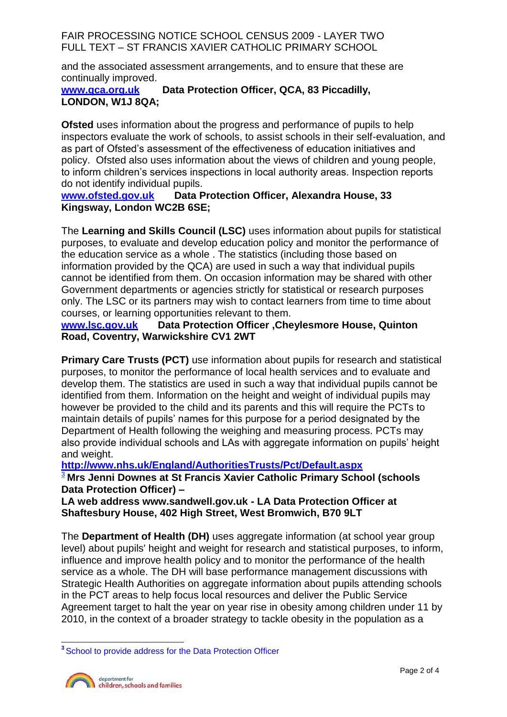and the associated assessment arrangements, and to ensure that these are continually improved.<br>www.gca.org.uk

### **Data Protection Officer, QCA, 83 Piccadilly, LONDON, W1J 8QA;**

**Ofsted** uses information about the progress and performance of pupils to help inspectors evaluate the work of schools, to assist schools in their self-evaluation, and as part of Ofsted's assessment of the effectiveness of education initiatives and policy. Ofsted also uses information about the views of children and young people, to inform children's services inspections in local authority areas. Inspection reports do not identify individual pupils.<br>www.ofsted.gov.uk Data F

### **Data Protection Officer, Alexandra House, 33 Kingsway, London WC2B 6SE;**

The **Learning and Skills Council (LSC)** uses information about pupils for statistical purposes, to evaluate and develop education policy and monitor the performance of the education service as a whole . The statistics (including those based on information provided by the QCA) are used in such a way that individual pupils cannot be identified from them. On occasion information may be shared with other Government departments or agencies strictly for statistical or research purposes only. The LSC or its partners may wish to contact learners from time to time about courses, or learning opportunities relevant to them.

### **[www.lsc.gov.uk](http://www.lsc.gov.uk/) Data Protection Officer ,Cheylesmore House, Quinton Road, Coventry, Warwickshire CV1 2WT**

**Primary Care Trusts (PCT)** use information about pupils for research and statistical purposes, to monitor the performance of local health services and to evaluate and develop them. The statistics are used in such a way that individual pupils cannot be identified from them. Information on the height and weight of individual pupils may however be provided to the child and its parents and this will require the PCTs to maintain details of pupils' names for this purpose for a period designated by the Department of Health following the weighing and measuring process. PCTs may also provide individual schools and LAs with aggregate information on pupils' height and weight.

# **<http://www.nhs.uk/England/AuthoritiesTrusts/Pct/Default.aspx>**

**<sup>3</sup> Mrs Jenni Downes at St Francis Xavier Catholic Primary School (schools Data Protection Officer) –**

**LA web address [www.sandwell.gov.uk](http://www.sandwell.gov.uk/) - LA Data Protection Officer at Shaftesbury House, 402 High Street, West Bromwich, B70 9LT**

The **Department of Health (DH)** uses aggregate information (at school year group level) about pupils' height and weight for research and statistical purposes, to inform, influence and improve health policy and to monitor the performance of the health service as a whole. The DH will base performance management discussions with Strategic Health Authorities on aggregate information about pupils attending schools in the PCT areas to help focus local resources and deliver the Public Service Agreement target to halt the year on year rise in obesity among children under 11 by 2010, in the context of a broader strategy to tackle obesity in the population as a

**<sup>3</sup>**School to provide address for the Data Protection Officer

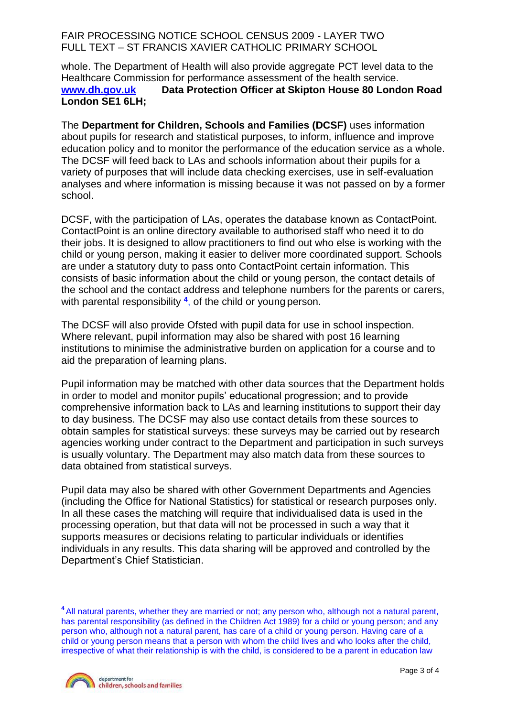whole. The Department of Health will also provide aggregate PCT level data to the Healthcare Commission for performance assessment of the health service. **[www.dh.gov.uk](http://www.dh.gov.uk/) Data Protection Officer at Skipton House 80 London Road London SE1 6LH;**

The **Department for Children, Schools and Families (DCSF)** uses information about pupils for research and statistical purposes, to inform, influence and improve education policy and to monitor the performance of the education service as a whole. The DCSF will feed back to LAs and schools information about their pupils for a variety of purposes that will include data checking exercises, use in self-evaluation analyses and where information is missing because it was not passed on by a former school.

DCSF, with the participation of LAs, operates the database known as ContactPoint. ContactPoint is an online directory available to authorised staff who need it to do their jobs. It is designed to allow practitioners to find out who else is working with the child or young person, making it easier to deliver more coordinated support. Schools are under a statutory duty to pass onto ContactPoint certain information. This consists of basic information about the child or young person, the contact details of the school and the contact address and telephone numbers for the parents or carers, with parental responsibility **<sup>4</sup>** , of the child or young person.

The DCSF will also provide Ofsted with pupil data for use in school inspection. Where relevant, pupil information may also be shared with post 16 learning institutions to minimise the administrative burden on application for a course and to aid the preparation of learning plans.

Pupil information may be matched with other data sources that the Department holds in order to model and monitor pupils' educational progression; and to provide comprehensive information back to LAs and learning institutions to support their day to day business. The DCSF may also use contact details from these sources to obtain samples for statistical surveys: these surveys may be carried out by research agencies working under contract to the Department and participation in such surveys is usually voluntary. The Department may also match data from these sources to data obtained from statistical surveys.

Pupil data may also be shared with other Government Departments and Agencies (including the Office for National Statistics) for statistical or research purposes only. In all these cases the matching will require that individualised data is used in the processing operation, but that data will not be processed in such a way that it supports measures or decisions relating to particular individuals or identifies individuals in any results. This data sharing will be approved and controlled by the Department's Chief Statistician.

**<sup>4</sup>**All natural parents, whether they are married or not; any person who, although not a natural parent, has parental responsibility (as defined in the Children Act 1989) for a child or young person; and any person who, although not a natural parent, has care of a child or young person. Having care of a child or young person means that a person with whom the child lives and who looks after the child, irrespective of what their relationship is with the child, is considered to be a parent in education law